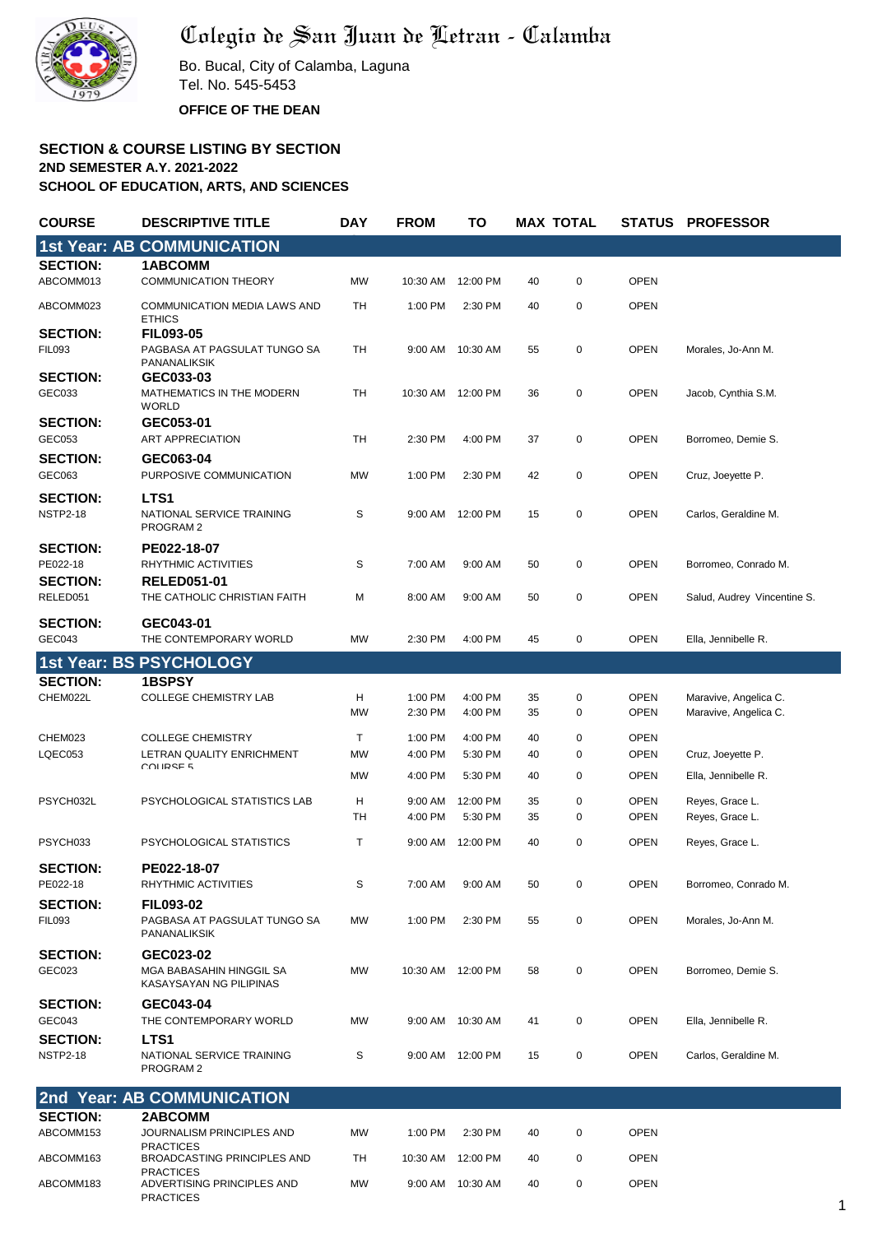

## Colegio de San Juan de Letran - Calamba

Bo. Bucal, City of Calamba, Laguna Tel. No. 545-5453 **OFFICE OF THE DEAN**

**SECTION & COURSE LISTING BY SECTION 2ND SEMESTER A.Y. 2021-2022 SCHOOL OF EDUCATION, ARTS, AND SCIENCES**

| <b>COURSE</b>                    | <b>DESCRIPTIVE TITLE</b>                                         | <b>DAY</b>     | <b>FROM</b>        | TO                  |          | <b>MAX TOTAL</b> |                            | <b>STATUS PROFESSOR</b>                        |
|----------------------------------|------------------------------------------------------------------|----------------|--------------------|---------------------|----------|------------------|----------------------------|------------------------------------------------|
|                                  | <b>1st Year: AB COMMUNICATION</b>                                |                |                    |                     |          |                  |                            |                                                |
| <b>SECTION:</b>                  | <b>1ABCOMM</b>                                                   |                |                    |                     |          |                  |                            |                                                |
| ABCOMM013                        | <b>COMMUNICATION THEORY</b>                                      | <b>MW</b>      | 10:30 AM           | 12:00 PM            | 40       | $\mathbf 0$      | <b>OPEN</b>                |                                                |
| ABCOMM023                        | <b>COMMUNICATION MEDIA LAWS AND</b><br><b>ETHICS</b>             | <b>TH</b>      | 1:00 PM            | 2:30 PM             | 40       | $\pmb{0}$        | <b>OPEN</b>                |                                                |
| <b>SECTION:</b>                  | <b>FIL093-05</b>                                                 |                |                    |                     |          |                  |                            |                                                |
| <b>FIL093</b><br><b>SECTION:</b> | PAGBASA AT PAGSULAT TUNGO SA<br>PANANALIKSIK<br>GEC033-03        | <b>TH</b>      | 9:00 AM            | 10:30 AM            | 55       | $\mathbf 0$      | <b>OPEN</b>                | Morales, Jo-Ann M.                             |
| GEC033                           | MATHEMATICS IN THE MODERN<br><b>WORLD</b>                        | <b>TH</b>      | 10:30 AM           | 12:00 PM            | 36       | $\pmb{0}$        | <b>OPEN</b>                | Jacob, Cynthia S.M.                            |
| <b>SECTION:</b><br>GEC053        | GEC053-01<br>ART APPRECIATION                                    | TH             | 2:30 PM            | 4:00 PM             | 37       | $\mathbf 0$      | <b>OPEN</b>                | Borromeo, Demie S.                             |
| <b>SECTION:</b><br>GEC063        | GEC063-04<br>PURPOSIVE COMMUNICATION                             | <b>MW</b>      | 1:00 PM            | 2:30 PM             | 42       | $\pmb{0}$        | <b>OPEN</b>                | Cruz, Joeyette P.                              |
| <b>SECTION:</b>                  | LTS1                                                             |                |                    |                     |          |                  |                            |                                                |
| <b>NSTP2-18</b>                  | NATIONAL SERVICE TRAINING<br>PROGRAM <sub>2</sub>                | S              | 9:00 AM            | 12:00 PM            | 15       | $\mathbf 0$      | <b>OPEN</b>                | Carlos, Geraldine M.                           |
| <b>SECTION:</b><br>PE022-18      | PE022-18-07                                                      |                |                    |                     |          |                  |                            |                                                |
| <b>SECTION:</b>                  | RHYTHMIC ACTIVITIES<br><b>RELED051-01</b>                        | S              | 7:00 AM            | 9:00 AM             | 50       | $\pmb{0}$        | <b>OPEN</b>                | Borromeo, Conrado M.                           |
| RELED051                         | THE CATHOLIC CHRISTIAN FAITH                                     | м              | 8:00 AM            | 9:00 AM             | 50       | $\mathbf 0$      | <b>OPEN</b>                | Salud, Audrey Vincentine S.                    |
| <b>SECTION:</b><br>GEC043        | GEC043-01<br>THE CONTEMPORARY WORLD                              | <b>MW</b>      | 2:30 PM            | 4:00 PM             | 45       | $\pmb{0}$        | <b>OPEN</b>                | Ella, Jennibelle R.                            |
|                                  | 1st Year: BS PSYCHOLOGY                                          |                |                    |                     |          |                  |                            |                                                |
| <b>SECTION:</b>                  | <b>1BSPSY</b>                                                    |                |                    |                     |          |                  |                            |                                                |
| CHEM022L                         | <b>COLLEGE CHEMISTRY LAB</b>                                     | н<br><b>MW</b> | 1:00 PM<br>2:30 PM | 4:00 PM<br>4:00 PM  | 35<br>35 | 0<br>$\pmb{0}$   | <b>OPEN</b><br><b>OPEN</b> | Maravive, Angelica C.<br>Maravive, Angelica C. |
| CHEM023                          | <b>COLLEGE CHEMISTRY</b>                                         | T              | 1:00 PM            | 4:00 PM             | 40       | 0                | <b>OPEN</b>                |                                                |
| LQEC053                          | LETRAN QUALITY ENRICHMENT                                        | <b>MW</b>      | 4:00 PM            | 5:30 PM             | 40       | $\mathbf 0$      | <b>OPEN</b>                | Cruz, Joeyette P.                              |
|                                  | COLIRSE 5                                                        | <b>MW</b>      | 4:00 PM            | 5:30 PM             | 40       | 0                | <b>OPEN</b>                | Ella, Jennibelle R.                            |
| PSYCH032L                        | PSYCHOLOGICAL STATISTICS LAB                                     | н<br>TH        | 9:00 AM<br>4:00 PM | 12:00 PM<br>5:30 PM | 35<br>35 | $\pmb{0}$<br>0   | <b>OPEN</b><br><b>OPEN</b> | Reyes, Grace L.                                |
| PSYCH033                         | PSYCHOLOGICAL STATISTICS                                         | Τ              | 9:00 AM            | 12:00 PM            | 40       | $\pmb{0}$        | <b>OPEN</b>                | Reyes, Grace L.<br>Reyes, Grace L.             |
|                                  |                                                                  |                |                    |                     |          |                  |                            |                                                |
| <b>SECTION:</b><br>PE022-18      | PE022-18-07<br>RHYTHMIC ACTIVITIES                               | S              | 7:00 AM            | 9:00 AM             | 50       | $\mathbf 0$      | <b>OPEN</b>                | Borromeo, Conrado M.                           |
| <b>SECTION:</b>                  | <b>FIL093-02</b>                                                 |                |                    |                     |          |                  |                            |                                                |
| <b>FIL093</b>                    | PAGBASA AT PAGSULAT TUNGO SA<br>PANANALIKSIK                     | MW             | 1:00 PM            | 2:30 PM             | 55       | $\pmb{0}$        | <b>OPEN</b>                | Morales, Jo-Ann M.                             |
| <b>SECTION:</b><br>GEC023        | GEC023-02<br>MGA BABASAHIN HINGGIL SA<br>KASAYSAYAN NG PILIPINAS | MW             | 10:30 AM 12:00 PM  |                     | 58       | 0                | <b>OPEN</b>                | Borromeo, Demie S.                             |
| <b>SECTION:</b><br>GEC043        | GEC043-04<br>THE CONTEMPORARY WORLD                              | MW             |                    | 9:00 AM 10:30 AM    | 41       | $\pmb{0}$        | <b>OPEN</b>                | Ella, Jennibelle R.                            |
| <b>SECTION:</b>                  | LTS1                                                             |                |                    |                     |          |                  |                            |                                                |
| <b>NSTP2-18</b>                  | NATIONAL SERVICE TRAINING<br>PROGRAM 2                           | S              |                    | 9:00 AM 12:00 PM    | 15       | $\mathbf 0$      | <b>OPEN</b>                | Carlos, Geraldine M.                           |
|                                  | 2nd Year: AB COMMUNICATION                                       |                |                    |                     |          |                  |                            |                                                |
| <b>SECTION:</b>                  | 2ABCOMM                                                          |                |                    |                     |          |                  |                            |                                                |
| ABCOMM153                        | JOURNALISM PRINCIPLES AND<br><b>PRACTICES</b>                    | MW             | 1:00 PM            | 2:30 PM             | 40       | 0                | <b>OPEN</b>                |                                                |
| ABCOMM163                        | <b>BROADCASTING PRINCIPLES AND</b><br><b>PRACTICES</b>           | TH             | 10:30 AM           | 12:00 PM            | 40       | 0                | <b>OPEN</b>                |                                                |
| ABCOMM183                        | ADVERTISING PRINCIPLES AND<br><b>PRACTICES</b>                   | MW             |                    | 9:00 AM 10:30 AM    | 40       | $\pmb{0}$        | <b>OPEN</b>                |                                                |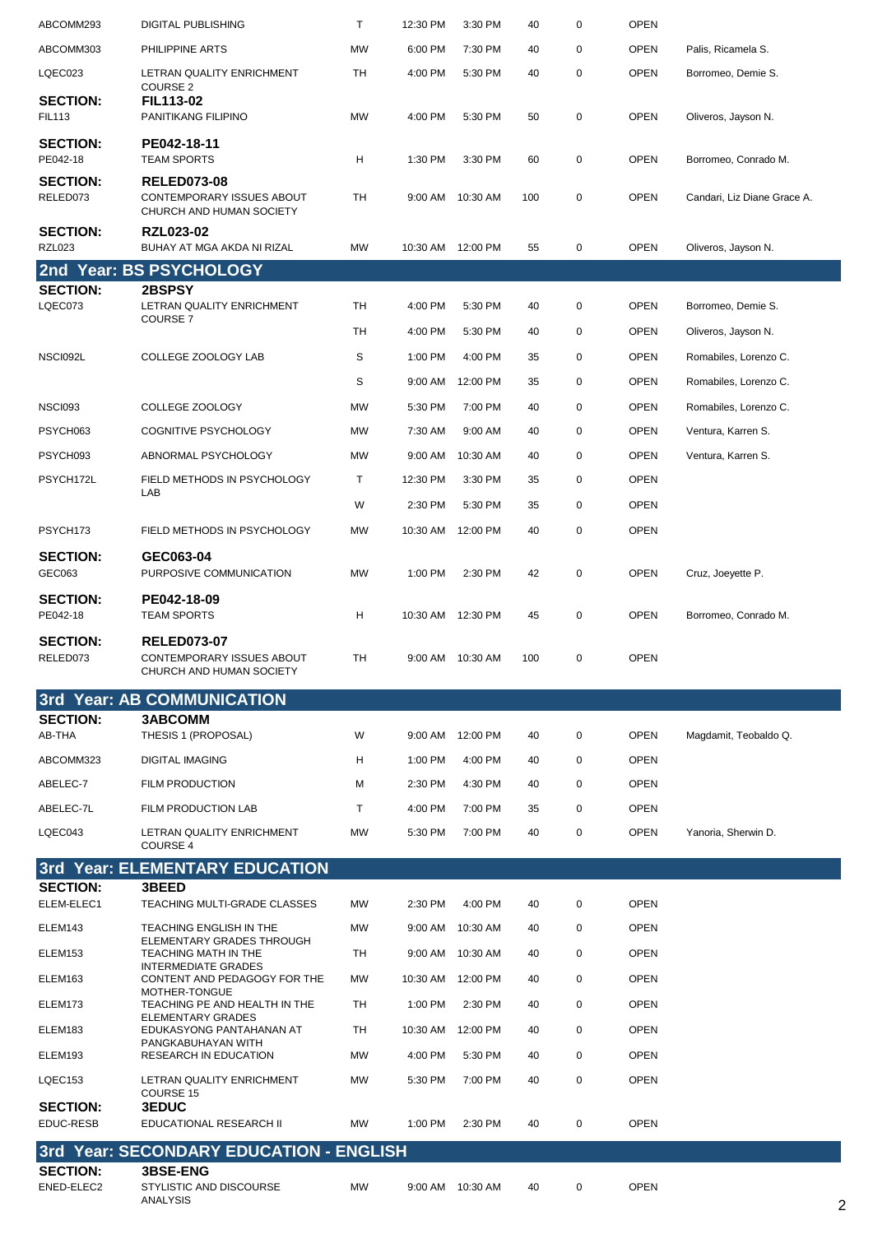| ABCOMM293                        | <b>DIGITAL PUBLISHING</b>                                                                                                                                                                                                  | Τ         | 12:30 PM           | 3:30 PM          | 40  | $\mathbf 0$ | <b>OPEN</b> |                             |
|----------------------------------|----------------------------------------------------------------------------------------------------------------------------------------------------------------------------------------------------------------------------|-----------|--------------------|------------------|-----|-------------|-------------|-----------------------------|
| ABCOMM303                        | PHILIPPINE ARTS                                                                                                                                                                                                            | <b>MW</b> | 6:00 PM            | 7:30 PM          | 40  | 0           | <b>OPEN</b> | Palis, Ricamela S.          |
| LQEC023                          | LETRAN QUALITY ENRICHMENT                                                                                                                                                                                                  | TH        | 4:00 PM            | 5:30 PM          | 40  | $\mathbf 0$ | <b>OPEN</b> | Borromeo, Demie S.          |
| <b>SECTION:</b>                  | <b>COURSE 2</b><br>FIL113-02                                                                                                                                                                                               |           |                    |                  |     |             |             |                             |
| <b>FIL113</b>                    | PANITIKANG FILIPINO                                                                                                                                                                                                        | <b>MW</b> | 4:00 PM            | 5:30 PM          | 50  | $\mathbf 0$ | <b>OPEN</b> | Oliveros, Jayson N.         |
| <b>SECTION:</b><br>PE042-18      | PE042-18-11<br><b>TEAM SPORTS</b>                                                                                                                                                                                          | н         | 1:30 PM            | 3:30 PM          | 60  | $\mathbf 0$ | <b>OPEN</b> | Borromeo, Conrado M.        |
| <b>SECTION:</b><br>RELED073      | <b>RELED073-08</b><br>CONTEMPORARY ISSUES ABOUT<br>CHURCH AND HUMAN SOCIETY                                                                                                                                                | TH        |                    | 9:00 AM 10:30 AM | 100 | $\mathbf 0$ | <b>OPEN</b> | Candari, Liz Diane Grace A. |
| <b>SECTION:</b><br><b>RZL023</b> | <b>RZL023-02</b><br>BUHAY AT MGA AKDA NI RIZAL                                                                                                                                                                             | MW        | 10:30 AM 12:00 PM  |                  | 55  | $\mathbf 0$ | <b>OPEN</b> | Oliveros, Jayson N.         |
|                                  | 2nd Year: BS PSYCHOLOGY                                                                                                                                                                                                    |           |                    |                  |     |             |             |                             |
| <b>SECTION:</b><br>LQEC073       | 2BSPSY<br>LETRAN QUALITY ENRICHMENT                                                                                                                                                                                        | <b>TH</b> | 4:00 PM            | 5:30 PM          | 40  | $\mathbf 0$ | <b>OPEN</b> | Borromeo, Demie S.          |
|                                  | <b>COURSE 7</b>                                                                                                                                                                                                            |           | 4:00 PM            |                  |     |             |             |                             |
|                                  |                                                                                                                                                                                                                            | <b>TH</b> |                    | 5:30 PM          | 40  | 0           | <b>OPEN</b> | Oliveros, Jayson N.         |
| NSCI092L                         | COLLEGE ZOOLOGY LAB                                                                                                                                                                                                        | S         | 1:00 PM            | 4:00 PM          | 35  | 0           | <b>OPEN</b> | Romabiles, Lorenzo C.       |
|                                  |                                                                                                                                                                                                                            | S         | 9:00 AM            | 12:00 PM         | 35  | 0           | <b>OPEN</b> | Romabiles, Lorenzo C.       |
| <b>NSCI093</b>                   | COLLEGE ZOOLOGY                                                                                                                                                                                                            | <b>MW</b> | 5:30 PM            | 7:00 PM          | 40  | 0           | <b>OPEN</b> | Romabiles, Lorenzo C.       |
| PSYCH063                         | <b>COGNITIVE PSYCHOLOGY</b>                                                                                                                                                                                                | <b>MW</b> | 7:30 AM            | 9:00 AM          | 40  | 0           | <b>OPEN</b> | Ventura, Karren S.          |
| PSYCH093                         | ABNORMAL PSYCHOLOGY                                                                                                                                                                                                        | <b>MW</b> | 9:00 AM            | 10:30 AM         | 40  | $\mathbf 0$ | <b>OPEN</b> | Ventura, Karren S.          |
| PSYCH172L                        | FIELD METHODS IN PSYCHOLOGY<br>LAB                                                                                                                                                                                         | Τ         | 12:30 PM           | 3:30 PM          | 35  | 0           | <b>OPEN</b> |                             |
|                                  |                                                                                                                                                                                                                            | W         | 2:30 PM            | 5:30 PM          | 35  | 0           | <b>OPEN</b> |                             |
| PSYCH173                         | FIELD METHODS IN PSYCHOLOGY                                                                                                                                                                                                | <b>MW</b> | 10:30 AM           | 12:00 PM         | 40  | $\mathbf 0$ | <b>OPEN</b> |                             |
| <b>SECTION:</b><br>GEC063        | GEC063-04<br>PURPOSIVE COMMUNICATION                                                                                                                                                                                       | <b>MW</b> | 1:00 PM            | 2:30 PM          | 42  | $\mathbf 0$ | <b>OPEN</b> | Cruz, Joeyette P.           |
| <b>SECTION:</b>                  | PE042-18-09                                                                                                                                                                                                                |           |                    |                  |     |             |             |                             |
| PE042-18                         | <b>TEAM SPORTS</b>                                                                                                                                                                                                         | Н         | 10:30 AM  12:30 PM |                  | 45  | $\mathbf 0$ | <b>OPEN</b> | Borromeo, Conrado M.        |
| <b>SECTION:</b><br>RELED073      | <b>RELED073-07</b><br>CONTEMPORARY ISSUES ABOUT<br>CHURCH AND HUMAN SOCIETY                                                                                                                                                | TH        |                    | 9:00 AM 10:30 AM | 100 | 0           | <b>OPEN</b> |                             |
|                                  | 3rd Year: AB COMMUNICATION                                                                                                                                                                                                 |           |                    |                  |     |             |             |                             |
| <b>SECTION:</b>                  | <b>3ABCOMM</b>                                                                                                                                                                                                             |           |                    |                  |     |             |             |                             |
| AB-THA                           | THESIS 1 (PROPOSAL)                                                                                                                                                                                                        | W         | 9:00 AM            | 12:00 PM         | 40  | 0           | <b>OPEN</b> | Magdamit, Teobaldo Q.       |
| ABCOMM323                        | <b>DIGITAL IMAGING</b>                                                                                                                                                                                                     | н         | 1:00 PM            | 4:00 PM          | 40  | 0           | <b>OPEN</b> |                             |
| ABELEC-7                         | <b>FILM PRODUCTION</b>                                                                                                                                                                                                     | М         | 2:30 PM            | 4:30 PM          | 40  | 0           | <b>OPEN</b> |                             |
| ABELEC-7L                        | FILM PRODUCTION LAB                                                                                                                                                                                                        | T.        | 4:00 PM            | 7:00 PM          | 35  | 0           | <b>OPEN</b> |                             |
| LQEC043                          | LETRAN QUALITY ENRICHMENT<br><b>COURSE 4</b>                                                                                                                                                                               | MW        | 5:30 PM            | 7:00 PM          | 40  | 0           | <b>OPEN</b> | Yanoria, Sherwin D.         |
|                                  | 3rd Year: ELEMENTARY EDUCATION                                                                                                                                                                                             |           |                    |                  |     |             |             |                             |
| <b>SECTION:</b><br>ELEM-ELEC1    | 3BEED<br>TEACHING MULTI-GRADE CLASSES                                                                                                                                                                                      | <b>MW</b> | 2:30 PM            | 4:00 PM          | 40  | 0           | <b>OPEN</b> |                             |
| ELEM143                          | TEACHING ENGLISH IN THE                                                                                                                                                                                                    | <b>MW</b> | 9:00 AM            | 10:30 AM         | 40  | 0           | <b>OPEN</b> |                             |
| ELEM153                          | ELEMENTARY GRADES THROUGH<br>TEACHING MATH IN THE                                                                                                                                                                          | TH        | 9:00 AM            | 10:30 AM         | 40  | 0           | <b>OPEN</b> |                             |
| ELEM163                          | <b>INTERMEDIATE GRADES</b><br>CONTENT AND PEDAGOGY FOR THE<br>MOTHER-TONGUE<br>TEACHING PE AND HEALTH IN THE<br><b>ELEMENTARY GRADES</b><br>EDUKASYONG PANTAHANAN AT<br>PANGKABUHAYAN WITH<br><b>RESEARCH IN EDUCATION</b> | MW        | 10:30 AM           | 12:00 PM         | 40  | $\mathbf 0$ | <b>OPEN</b> |                             |
| ELEM173                          |                                                                                                                                                                                                                            | TH        | 1:00 PM            | 2:30 PM          | 40  | 0           | <b>OPEN</b> |                             |
| ELEM183                          |                                                                                                                                                                                                                            | TH        | 10:30 AM           | 12:00 PM         | 40  | 0           | <b>OPEN</b> |                             |
| ELEM193                          |                                                                                                                                                                                                                            | <b>MW</b> | 4:00 PM            | 5:30 PM          |     | $\mathbf 0$ | <b>OPEN</b> |                             |
|                                  |                                                                                                                                                                                                                            |           |                    |                  | 40  |             |             |                             |
| LQEC153                          | LETRAN QUALITY ENRICHMENT<br><b>COURSE 15</b>                                                                                                                                                                              | <b>MW</b> | 5:30 PM            | 7:00 PM          | 40  | 0           | <b>OPEN</b> |                             |
| <b>SECTION:</b><br>EDUC-RESB     | <b>3EDUC</b><br>EDUCATIONAL RESEARCH II                                                                                                                                                                                    | MW        | 1:00 PM            | 2:30 PM          | 40  | 0           | <b>OPEN</b> |                             |
|                                  | 3rd Year: SECONDARY EDUCATION - ENGLISH                                                                                                                                                                                    |           |                    |                  |     |             |             |                             |
| <b>SECTION:</b>                  | <b>3BSE-ENG</b>                                                                                                                                                                                                            |           |                    |                  |     |             |             |                             |
| ENED-ELEC2                       | <b>STYLISTIC AND DISCOURSE</b><br>ANALYSIS                                                                                                                                                                                 | <b>MW</b> |                    | 9:00 AM 10:30 AM | 40  | 0           | <b>OPEN</b> |                             |